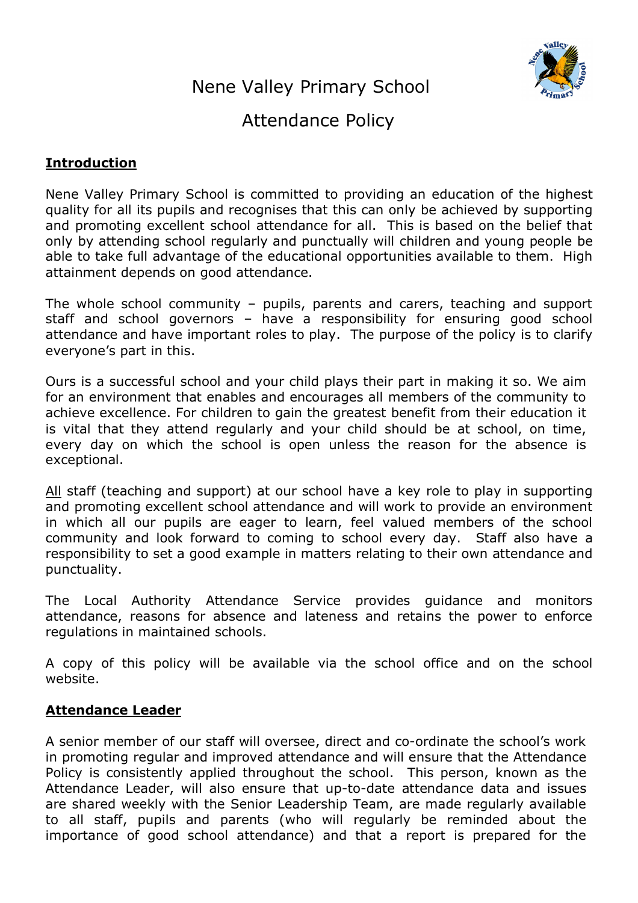

Attendance Policy

# **Introduction**

Nene Valley Primary School is committed to providing an education of the highest quality for all its pupils and recognises that this can only be achieved by supporting and promoting excellent school attendance for all. This is based on the belief that only by attending school regularly and punctually will children and young people be able to take full advantage of the educational opportunities available to them. High attainment depends on good attendance.

The whole school community – pupils, parents and carers, teaching and support staff and school governors – have a responsibility for ensuring good school attendance and have important roles to play. The purpose of the policy is to clarify everyone's part in this.

Ours is a successful school and your child plays their part in making it so. We aim for an environment that enables and encourages all members of the community to achieve excellence. For children to gain the greatest benefit from their education it is vital that they attend regularly and your child should be at school, on time, every day on which the school is open unless the reason for the absence is exceptional.

All staff (teaching and support) at our school have a key role to play in supporting and promoting excellent school attendance and will work to provide an environment in which all our pupils are eager to learn, feel valued members of the school community and look forward to coming to school every day. Staff also have a responsibility to set a good example in matters relating to their own attendance and punctuality.

The Local Authority Attendance Service provides guidance and monitors attendance, reasons for absence and lateness and retains the power to enforce regulations in maintained schools.

A copy of this policy will be available via the school office and on the school website.

## **Attendance Leader**

A senior member of our staff will oversee, direct and co-ordinate the school's work in promoting regular and improved attendance and will ensure that the Attendance Policy is consistently applied throughout the school. This person, known as the Attendance Leader, will also ensure that up-to-date attendance data and issues are shared weekly with the Senior Leadership Team, are made regularly available to all staff, pupils and parents (who will regularly be reminded about the importance of good school attendance) and that a report is prepared for the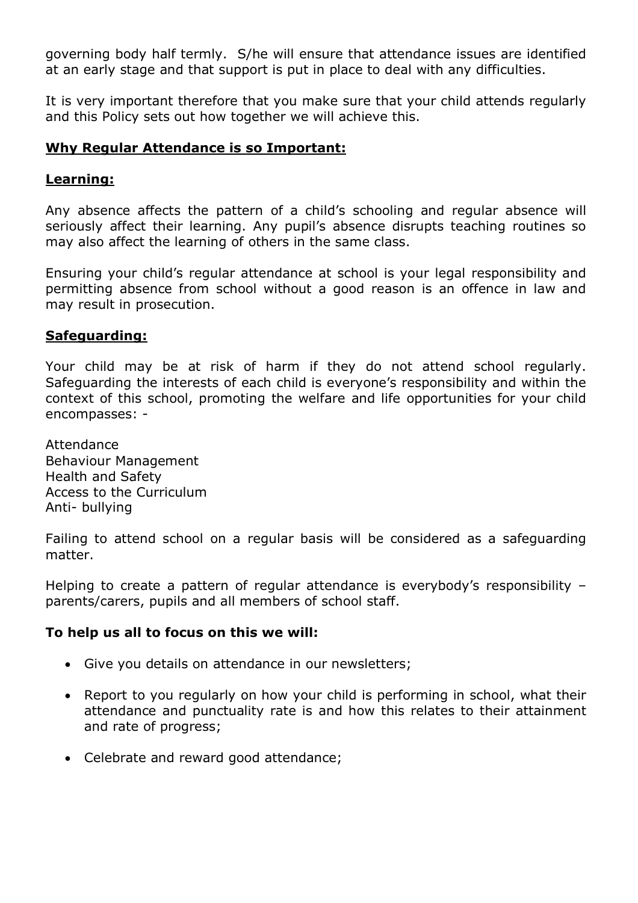governing body half termly. S/he will ensure that attendance issues are identified at an early stage and that support is put in place to deal with any difficulties.

It is very important therefore that you make sure that your child attends regularly and this Policy sets out how together we will achieve this.

# **Why Regular Attendance is so Important:**

## **Learning:**

Any absence affects the pattern of a child's schooling and regular absence will seriously affect their learning. Any pupil's absence disrupts teaching routines so may also affect the learning of others in the same class.

Ensuring your child's regular attendance at school is your legal responsibility and permitting absence from school without a good reason is an offence in law and may result in prosecution.

## **Safeguarding:**

Your child may be at risk of harm if they do not attend school regularly. Safeguarding the interests of each child is everyone's responsibility and within the context of this school, promoting the welfare and life opportunities for your child encompasses: -

Attendance Behaviour Management Health and Safety Access to the Curriculum Anti- bullying

Failing to attend school on a regular basis will be considered as a safeguarding matter.

Helping to create a pattern of regular attendance is everybody's responsibility – parents/carers, pupils and all members of school staff.

#### **To help us all to focus on this we will:**

- Give you details on attendance in our newsletters;
- Report to you regularly on how your child is performing in school, what their attendance and punctuality rate is and how this relates to their attainment and rate of progress;
- Celebrate and reward good attendance;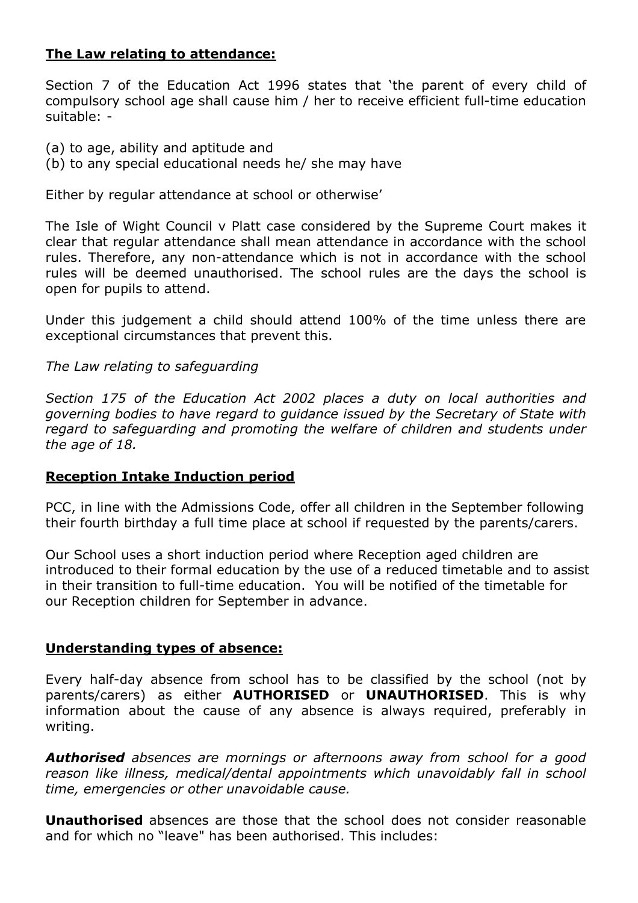# **The Law relating to attendance:**

Section 7 of the Education Act 1996 states that 'the parent of every child of compulsory school age shall cause him / her to receive efficient full-time education suitable: -

- (a) to age, ability and aptitude and
- (b) to any special educational needs he/ she may have

Either by regular attendance at school or otherwise'

The Isle of Wight Council v Platt case considered by the Supreme Court makes it clear that regular attendance shall mean attendance in accordance with the school rules. Therefore, any non-attendance which is not in accordance with the school rules will be deemed unauthorised. The school rules are the days the school is open for pupils to attend.

Under this judgement a child should attend 100% of the time unless there are exceptional circumstances that prevent this.

## *The Law relating to safeguarding*

*Section 175 of the Education Act 2002 places a duty on local authorities and governing bodies to have regard to guidance issued by the Secretary of State with regard to safeguarding and promoting the welfare of children and students under the age of 18.*

## **Reception Intake Induction period**

PCC, in line with the Admissions Code, offer all children in the September following their fourth birthday a full time place at school if requested by the parents/carers.

Our School uses a short induction period where Reception aged children are introduced to their formal education by the use of a reduced timetable and to assist in their transition to full-time education. You will be notified of the timetable for our Reception children for September in advance.

## **Understanding types of absence:**

Every half-day absence from school has to be classified by the school (not by parents/carers) as either **AUTHORISED** or **UNAUTHORISED**. This is why information about the cause of any absence is always required, preferably in writing.

*Authorised absences are mornings or afternoons away from school for a good reason like illness, medical/dental appointments which unavoidably fall in school time, emergencies or other unavoidable cause.*

**Unauthorised** absences are those that the school does not consider reasonable and for which no "leave" has been authorised. This includes: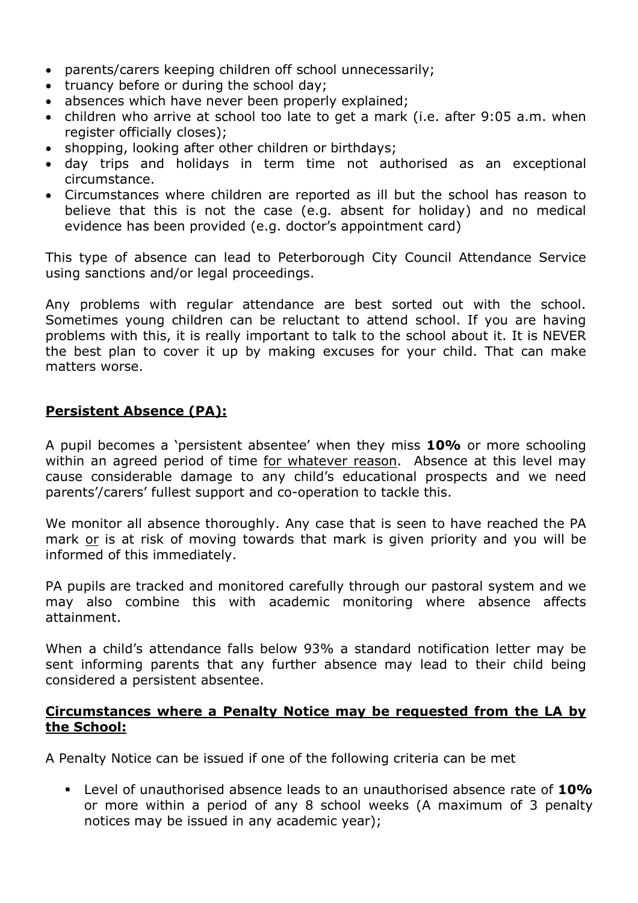- parents/carers keeping children off school unnecessarily;
- truancy before or during the school day;
- absences which have never been properly explained;
- children who arrive at school too late to get a mark (i.e. after 9:05 a.m. when register officially closes);
- shopping, looking after other children or birthdays;
- day trips and holidays in term time not authorised as an exceptional circumstance.
- Circumstances where children are reported as ill but the school has reason to believe that this is not the case (e.g. absent for holiday) and no medical evidence has been provided (e.g. doctor's appointment card)

This type of absence can lead to Peterborough City Council Attendance Service using sanctions and/or legal proceedings.

Any problems with regular attendance are best sorted out with the school. Sometimes young children can be reluctant to attend school. If you are having problems with this, it is really important to talk to the school about it. It is NEVER the best plan to cover it up by making excuses for your child. That can make matters worse.

# **Persistent Absence (PA):**

A pupil becomes a 'persistent absentee' when they miss **10%** or more schooling within an agreed period of time for whatever reason. Absence at this level may cause considerable damage to any child's educational prospects and we need parents'/carers' fullest support and co-operation to tackle this.

We monitor all absence thoroughly. Any case that is seen to have reached the PA mark or is at risk of moving towards that mark is given priority and you will be informed of this immediately.

PA pupils are tracked and monitored carefully through our pastoral system and we may also combine this with academic monitoring where absence affects attainment.

When a child's attendance falls below 93% a standard notification letter may be sent informing parents that any further absence may lead to their child being considered a persistent absentee.

#### **Circumstances where a Penalty Notice may be requested from the LA by the School:**

A Penalty Notice can be issued if one of the following criteria can be met

§ Level of unauthorised absence leads to an unauthorised absence rate of **10%** or more within a period of any 8 school weeks (A maximum of 3 penalty notices may be issued in any academic year);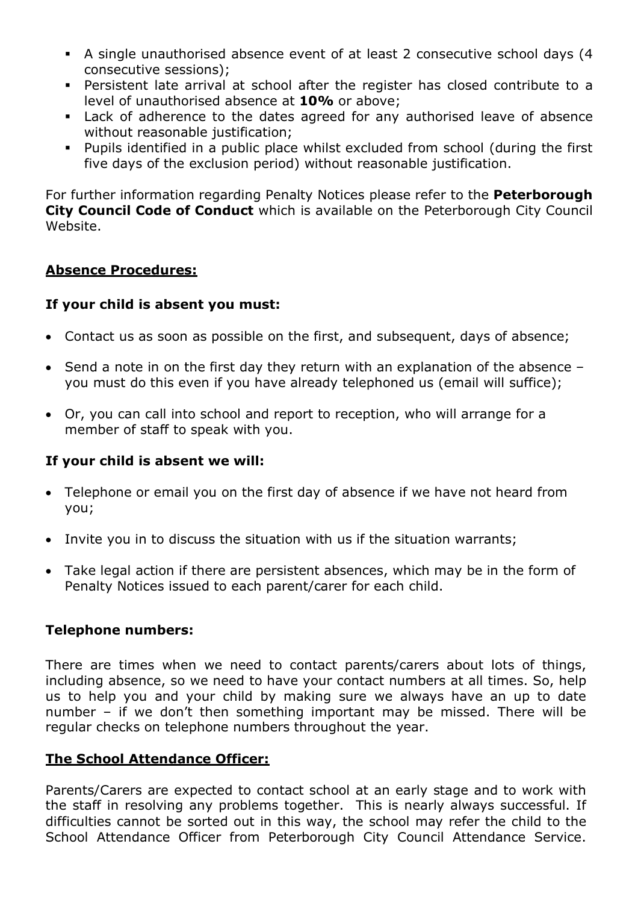- § A single unauthorised absence event of at least 2 consecutive school days (4 consecutive sessions);
- § Persistent late arrival at school after the register has closed contribute to a level of unauthorised absence at **10%** or above;
- § Lack of adherence to the dates agreed for any authorised leave of absence without reasonable justification;
- § Pupils identified in a public place whilst excluded from school (during the first five days of the exclusion period) without reasonable justification.

For further information regarding Penalty Notices please refer to the **Peterborough City Council Code of Conduct** which is available on the Peterborough City Council Website.

## **Absence Procedures:**

# **If your child is absent you must:**

- Contact us as soon as possible on the first, and subsequent, days of absence;
- Send a note in on the first day they return with an explanation of the absence you must do this even if you have already telephoned us (email will suffice);
- Or, you can call into school and report to reception, who will arrange for a member of staff to speak with you.

# **If your child is absent we will:**

- Telephone or email you on the first day of absence if we have not heard from you;
- Invite you in to discuss the situation with us if the situation warrants;
- Take legal action if there are persistent absences, which may be in the form of Penalty Notices issued to each parent/carer for each child.

## **Telephone numbers:**

There are times when we need to contact parents/carers about lots of things, including absence, so we need to have your contact numbers at all times. So, help us to help you and your child by making sure we always have an up to date number – if we don't then something important may be missed. There will be regular checks on telephone numbers throughout the year.

# **The School Attendance Officer:**

Parents/Carers are expected to contact school at an early stage and to work with the staff in resolving any problems together. This is nearly always successful. If difficulties cannot be sorted out in this way, the school may refer the child to the School Attendance Officer from Peterborough City Council Attendance Service.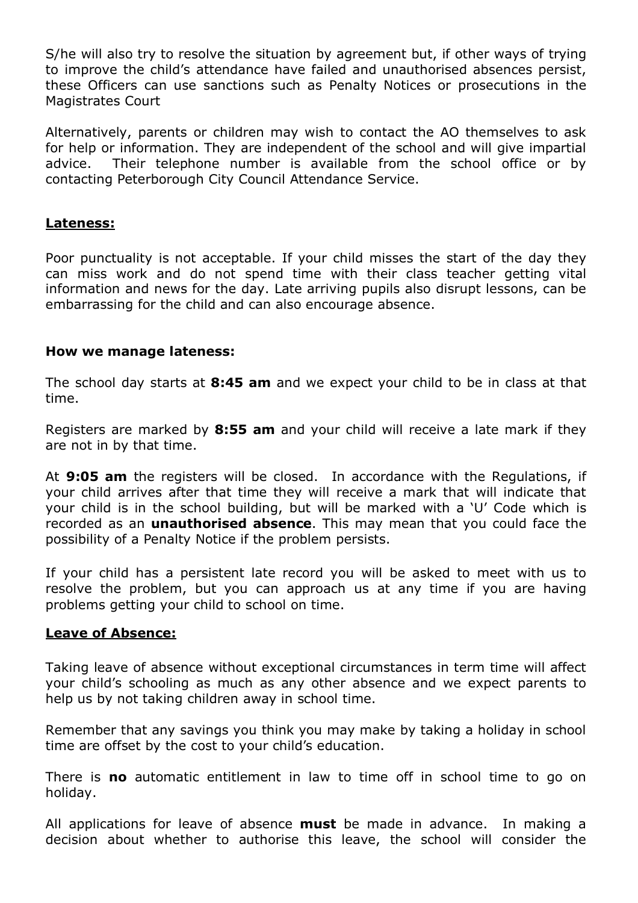S/he will also try to resolve the situation by agreement but, if other ways of trying to improve the child's attendance have failed and unauthorised absences persist, these Officers can use sanctions such as Penalty Notices or prosecutions in the Magistrates Court

Alternatively, parents or children may wish to contact the AO themselves to ask for help or information. They are independent of the school and will give impartial advice. Their telephone number is available from the school office or by contacting Peterborough City Council Attendance Service.

#### **Lateness:**

Poor punctuality is not acceptable. If your child misses the start of the day they can miss work and do not spend time with their class teacher getting vital information and news for the day. Late arriving pupils also disrupt lessons, can be embarrassing for the child and can also encourage absence.

#### **How we manage lateness:**

The school day starts at **8:45 am** and we expect your child to be in class at that time.

Registers are marked by **8:55 am** and your child will receive a late mark if they are not in by that time.

At **9:05 am** the registers will be closed. In accordance with the Regulations, if your child arrives after that time they will receive a mark that will indicate that your child is in the school building, but will be marked with a 'U' Code which is recorded as an **unauthorised absence**. This may mean that you could face the possibility of a Penalty Notice if the problem persists.

If your child has a persistent late record you will be asked to meet with us to resolve the problem, but you can approach us at any time if you are having problems getting your child to school on time.

#### **Leave of Absence:**

Taking leave of absence without exceptional circumstances in term time will affect your child's schooling as much as any other absence and we expect parents to help us by not taking children away in school time.

Remember that any savings you think you may make by taking a holiday in school time are offset by the cost to your child's education.

There is **no** automatic entitlement in law to time off in school time to go on holiday.

All applications for leave of absence **must** be made in advance. In making a decision about whether to authorise this leave, the school will consider the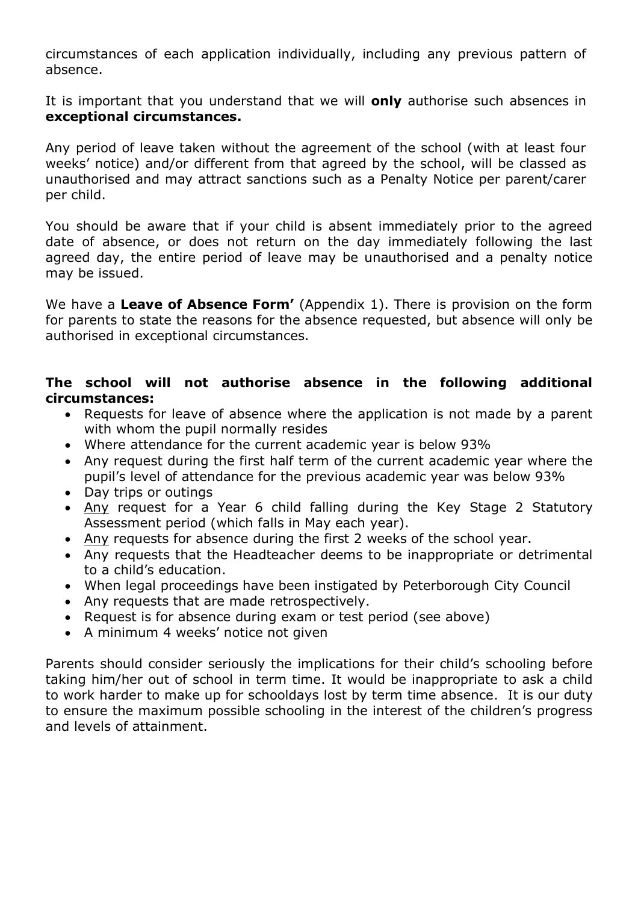circumstances of each application individually, including any previous pattern of absence.

It is important that you understand that we will **only** authorise such absences in **exceptional circumstances.** 

Any period of leave taken without the agreement of the school (with at least four weeks' notice) and/or different from that agreed by the school, will be classed as unauthorised and may attract sanctions such as a Penalty Notice per parent/carer per child.

You should be aware that if your child is absent immediately prior to the agreed date of absence, or does not return on the day immediately following the last agreed day, the entire period of leave may be unauthorised and a penalty notice may be issued.

We have a **Leave of Absence Form'** (Appendix 1). There is provision on the form for parents to state the reasons for the absence requested, but absence will only be authorised in exceptional circumstances.

## **The school will not authorise absence in the following additional circumstances:**

- Requests for leave of absence where the application is not made by a parent with whom the pupil normally resides
- Where attendance for the current academic year is below 93%
- Any request during the first half term of the current academic year where the pupil's level of attendance for the previous academic year was below 93%
- Day trips or outings
- Any request for a Year 6 child falling during the Key Stage 2 Statutory Assessment period (which falls in May each year).
- Any requests for absence during the first 2 weeks of the school year.
- Any requests that the Headteacher deems to be inappropriate or detrimental to a child's education.
- When legal proceedings have been instigated by Peterborough City Council
- Any requests that are made retrospectively.
- Request is for absence during exam or test period (see above)
- A minimum 4 weeks' notice not given

Parents should consider seriously the implications for their child's schooling before taking him/her out of school in term time. It would be inappropriate to ask a child to work harder to make up for schooldays lost by term time absence. It is our duty to ensure the maximum possible schooling in the interest of the children's progress and levels of attainment.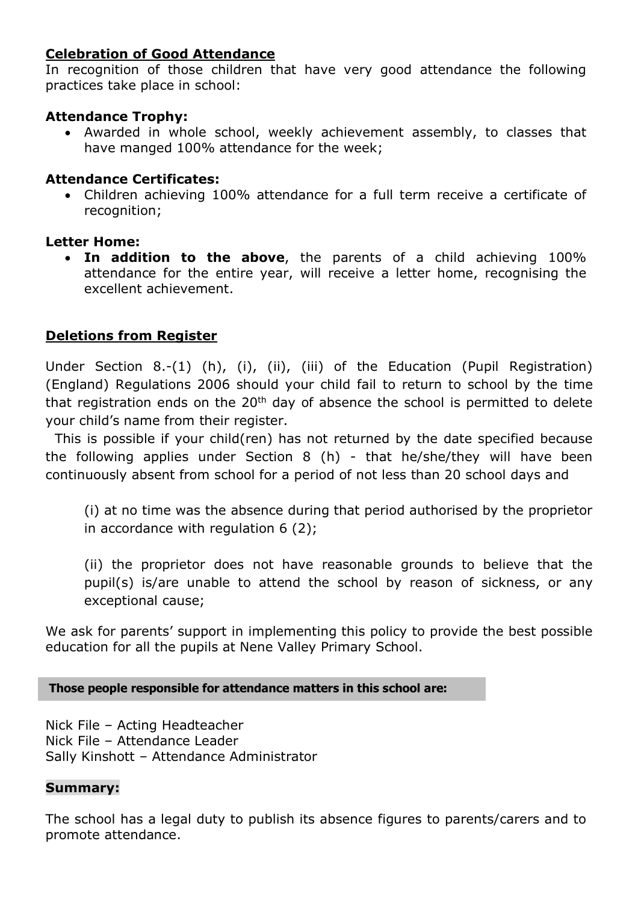# **Celebration of Good Attendance**

In recognition of those children that have very good attendance the following practices take place in school:

# **Attendance Trophy:**

• Awarded in whole school, weekly achievement assembly, to classes that have manged 100% attendance for the week;

# **Attendance Certificates:**

• Children achieving 100% attendance for a full term receive a certificate of recognition;

# **Letter Home:**

• **In addition to the above**, the parents of a child achieving 100% attendance for the entire year, will receive a letter home, recognising the excellent achievement.

# **Deletions from Register**

Under Section 8.-(1) (h), (i), (ii), (iii) of the Education (Pupil Registration) (England) Regulations 2006 should your child fail to return to school by the time that registration ends on the  $20<sup>th</sup>$  day of absence the school is permitted to delete your child's name from their register.

 This is possible if your child(ren) has not returned by the date specified because the following applies under Section 8 (h) - that he/she/they will have been continuously absent from school for a period of not less than 20 school days and

(i) at no time was the absence during that period authorised by the proprietor in accordance with regulation 6 (2);

(ii) the proprietor does not have reasonable grounds to believe that the pupil(s) is/are unable to attend the school by reason of sickness, or any exceptional cause;

We ask for parents' support in implementing this policy to provide the best possible education for all the pupils at Nene Valley Primary School.

#### **Those people responsible for attendance matters in this school are:**

Nick File – Acting Headteacher Nick File – Attendance Leader Sally Kinshott – Attendance Administrator

## **Summary:**

The school has a legal duty to publish its absence figures to parents/carers and to promote attendance.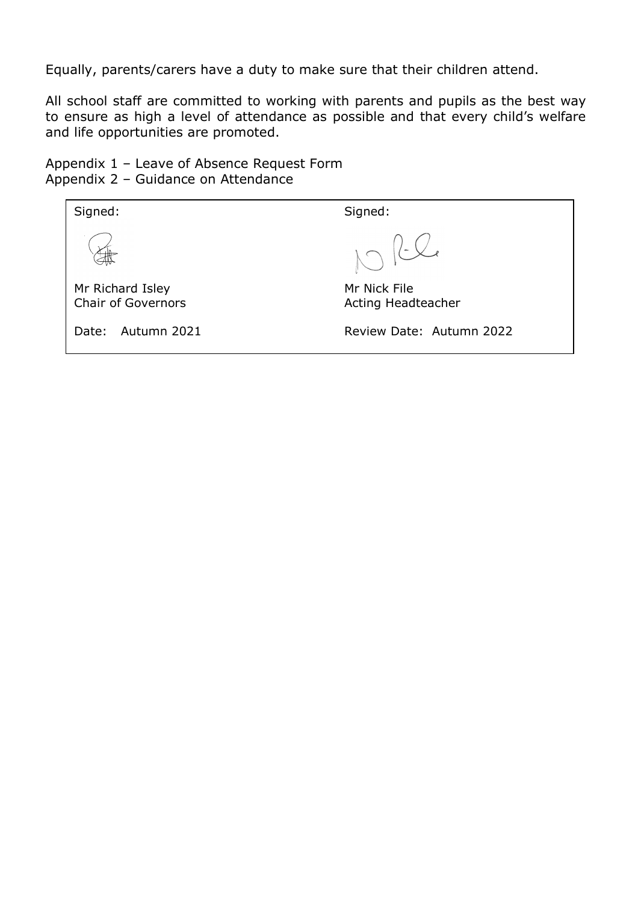Equally, parents/carers have a duty to make sure that their children attend.

All school staff are committed to working with parents and pupils as the best way to ensure as high a level of attendance as possible and that every child's welfare and life opportunities are promoted.

Appendix 1 – Leave of Absence Request Form Appendix 2 – Guidance on Attendance

| Signed:                                | Signed:                            |
|----------------------------------------|------------------------------------|
|                                        | $N\sim 122$                        |
| Mr Richard Isley<br>Chair of Governors | Mr Nick File<br>Acting Headteacher |
| Autumn 2021<br>Date:                   | Review Date: Autumn 2022           |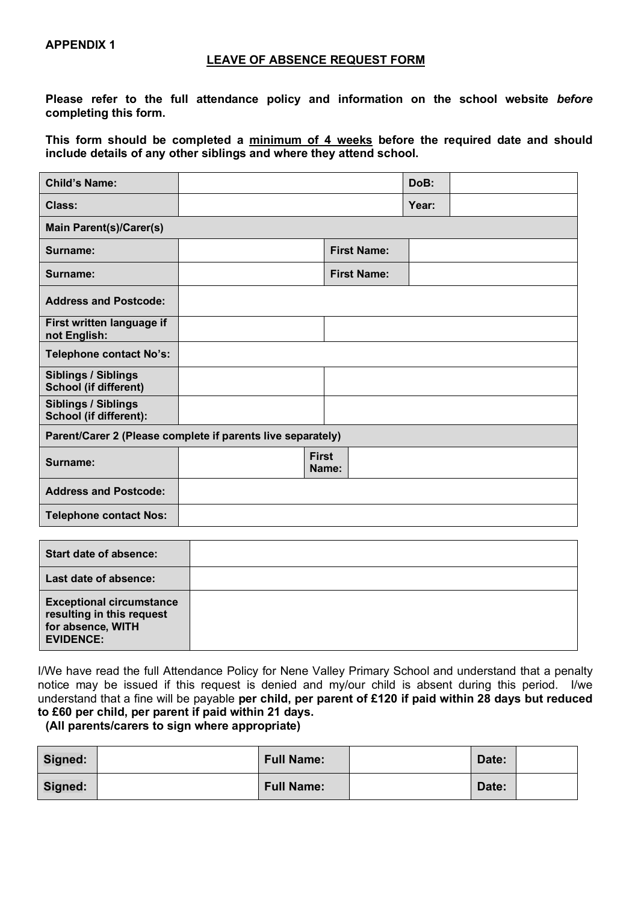#### **LEAVE OF ABSENCE REQUEST FORM**

**Please refer to the full attendance policy and information on the school website** *before* **completing this form.**

**This form should be completed a minimum of 4 weeks before the required date and should include details of any other siblings and where they attend school.**

| <b>Child's Name:</b>                                        |  |                       | DoB:  |  |  |
|-------------------------------------------------------------|--|-----------------------|-------|--|--|
| Class:                                                      |  |                       | Year: |  |  |
| <b>Main Parent(s)/Carer(s)</b>                              |  |                       |       |  |  |
| Surname:                                                    |  | <b>First Name:</b>    |       |  |  |
| Surname:                                                    |  | <b>First Name:</b>    |       |  |  |
| <b>Address and Postcode:</b>                                |  |                       |       |  |  |
| First written language if<br>not English:                   |  |                       |       |  |  |
| <b>Telephone contact No's:</b>                              |  |                       |       |  |  |
| <b>Siblings / Siblings</b><br><b>School (if different)</b>  |  |                       |       |  |  |
| <b>Siblings / Siblings</b><br><b>School (if different):</b> |  |                       |       |  |  |
| Parent/Carer 2 (Please complete if parents live separately) |  |                       |       |  |  |
| Surname:                                                    |  | <b>First</b><br>Name: |       |  |  |
| <b>Address and Postcode:</b>                                |  |                       |       |  |  |
| <b>Telephone contact Nos:</b>                               |  |                       |       |  |  |

| <b>Start date of absence:</b>                                                                         |  |
|-------------------------------------------------------------------------------------------------------|--|
| Last date of absence:                                                                                 |  |
| <b>Exceptional circumstance</b><br>resulting in this request<br>for absence, WITH<br><b>EVIDENCE:</b> |  |

I/We have read the full Attendance Policy for Nene Valley Primary School and understand that a penalty notice may be issued if this request is denied and my/our child is absent during this period. I/we understand that a fine will be payable **per child, per parent of £120 if paid within 28 days but reduced to £60 per child, per parent if paid within 21 days.**

**(All parents/carers to sign where appropriate)**

| Signed: | <b>Full Name:</b> | Date: |  |
|---------|-------------------|-------|--|
| Signed: | <b>Full Name:</b> | Date: |  |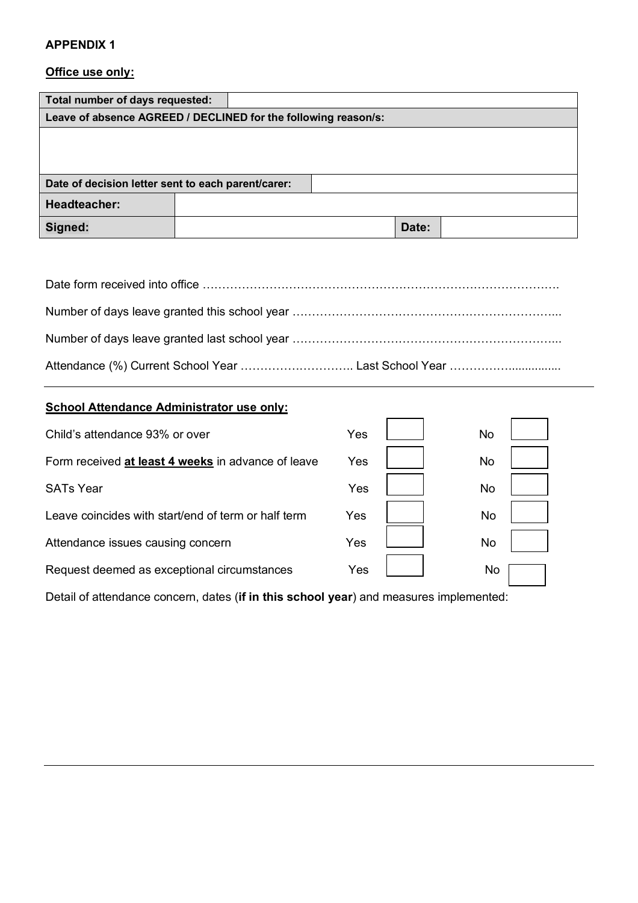# **APPENDIX 1**

# **Office use only:**

| Total number of days requested:                                |                                                    |  |  |       |  |
|----------------------------------------------------------------|----------------------------------------------------|--|--|-------|--|
| Leave of absence AGREED / DECLINED for the following reason/s: |                                                    |  |  |       |  |
|                                                                |                                                    |  |  |       |  |
|                                                                |                                                    |  |  |       |  |
|                                                                |                                                    |  |  |       |  |
|                                                                | Date of decision letter sent to each parent/carer: |  |  |       |  |
| <b>Headteacher:</b>                                            |                                                    |  |  |       |  |
| Signed:                                                        |                                                    |  |  | Date: |  |

# **School Attendance Administrator use only:**

| Child's attendance 93% or over                      | Yes | <b>No</b> |
|-----------------------------------------------------|-----|-----------|
| Form received at least 4 weeks in advance of leave  | Yes | <b>No</b> |
| <b>SATs Year</b>                                    | Yes | <b>No</b> |
| Leave coincides with start/end of term or half term | Yes | <b>No</b> |
| Attendance issues causing concern                   | Yes | No        |
| Request deemed as exceptional circumstances         | Yes | No        |

Detail of attendance concern, dates (**if in this school year**) and measures implemented: